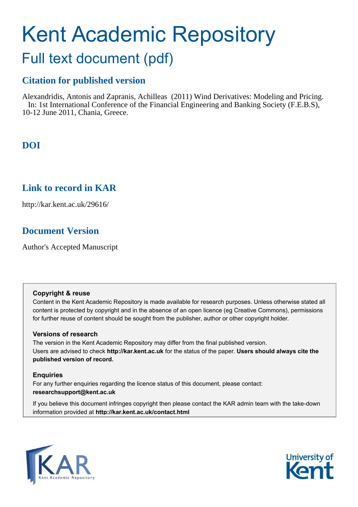# Kent Academic Repository Full text document (pdf)

# **Citation for published version**

Alexandridis, Antonis and Zapranis, Achilleas (2011) Wind Derivatives: Modeling and Pricing. In: 1st International Conference of the Financial Engineering and Banking Society (F.E.B.S), 10-12 June 2011, Chania, Greece.

# **DOI**

## **Link to record in KAR**

http://kar.kent.ac.uk/29616/

# **Document Version**

Author's Accepted Manuscript

#### **Copyright & reuse**

Content in the Kent Academic Repository is made available for research purposes. Unless otherwise stated all content is protected by copyright and in the absence of an open licence (eg Creative Commons), permissions for further reuse of content should be sought from the publisher, author or other copyright holder.

#### **Versions of research**

The version in the Kent Academic Repository may differ from the final published version. Users are advised to check **http://kar.kent.ac.uk** for the status of the paper. **Users should always cite the published version of record.**

#### **Enquiries**

For any further enquiries regarding the licence status of this document, please contact: **researchsupport@kent.ac.uk**

If you believe this document infringes copyright then please contact the KAR admin team with the take-down information provided at **http://kar.kent.ac.uk/contact.html**



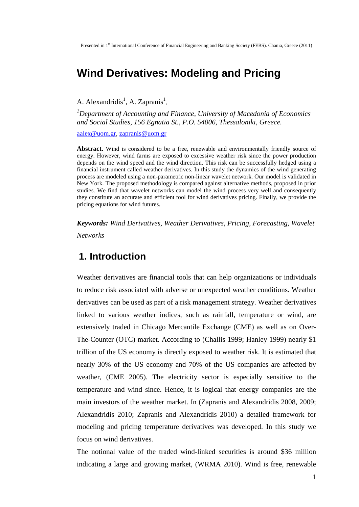# **Wind Derivatives: Modeling and Pricing**

A. Alexandridis<sup>1</sup>, A. Zapranis<sup>1</sup>,

*<sup>1</sup>Department of Accounting and Finance, University of Macedonia of Economics and Social Studies, 156 Egnatia St., P.O. 54006, Thessaloniki, Greece.* 

[aalex@uom.gr,](mailto:aalex@uom.gr) [zapranis@uom.gr](mailto:zapranis@uom.gr) 

Abstract. Wind is considered to be a free, renewable and environmentally friendly source of energy. However, wind farms are exposed to excessive weather risk since the power production depends on the wind speed and the wind direction. This risk can be successfully hedged using a financial instrument called weather derivatives. In this study the dynamics of the wind generating process are modeled using a non-parametric non-linear wavelet network. Our model is validated in New York. The proposed methodology is compared against alternative methods, proposed in prior studies. We find that wavelet networks can model the wind process very well and consequently they constitute an accurate and efficient tool for wind derivatives pricing. Finally, we provide the pricing equations for wind futures.

*Keywords: Wind Derivatives, Weather Derivatives, Pricing, Forecasting, Wavelet Networks*

## **1. Introduction**

Weather derivatives are financial tools that can help organizations or individuals to reduce risk associated with adverse or unexpected weather conditions. Weather derivatives can be used as part of a risk management strategy. Weather derivatives linked to various weather indices, such as rainfall, temperature or wind, are extensively traded in Chicago Mercantile Exchange (CME) as well as on Over-The-Counter (OTC) market. According to (Challis 1999; Hanley 1999) nearly \$1 trillion of the US economy is directly exposed to weather risk. It is estimated that nearly 30% of the US economy and 70% of the US companies are affected by weather, (CME 2005). The electricity sector is especially sensitive to the temperature and wind since. Hence, it is logical that energy companies are the main investors of the weather market. In (Zapranis and Alexandridis 2008, 2009; Alexandridis 2010; Zapranis and Alexandridis 2010) a detailed framework for modeling and pricing temperature derivatives was developed. In this study we focus on wind derivatives.

The notional value of the traded wind-linked securities is around \$36 million indicating a large and growing market, (WRMA 2010). Wind is free, renewable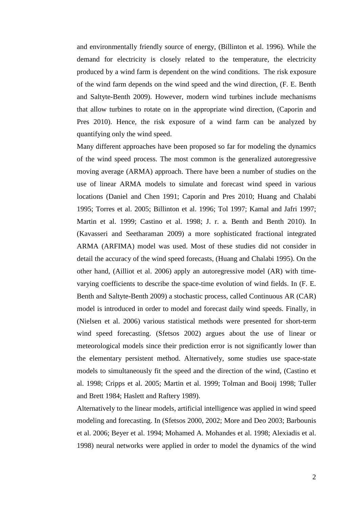and environmentally friendly source of energy, (Billinton et al. 1996). While the demand for electricity is closely related to the temperature, the electricity produced by a wind farm is dependent on the wind conditions. The risk exposure of the wind farm depends on the wind speed and the wind direction, (F. E. Benth and Saltyte-Benth 2009). However, modern wind turbines include mechanisms that allow turbines to rotate on in the appropriate wind direction, (Caporin and Pres 2010). Hence, the risk exposure of a wind farm can be analyzed by quantifying only the wind speed.

Many different approaches have been proposed so far for modeling the dynamics of the wind speed process. The most common is the generalized autoregressive moving average (ARMA) approach. There have been a number of studies on the use of linear ARMA models to simulate and forecast wind speed in various locations (Daniel and Chen 1991; Caporin and Pres 2010; Huang and Chalabi 1995; Torres et al. 2005; Billinton et al. 1996; Tol 1997; Kamal and Jafri 1997; Martin et al. 1999; Castino et al. 1998; J. r. a. Benth and Benth 2010). In (Kavasseri and Seetharaman 2009) a more sophisticated fractional integrated ARMA (ARFIMA) model was used. Most of these studies did not consider in detail the accuracy of the wind speed forecasts, (Huang and Chalabi 1995). On the other hand, (Ailliot et al. 2006) apply an autoregressive model (AR) with timevarying coefficients to describe the space-time evolution of wind fields. In (F. E. Benth and Saltyte-Benth 2009) a stochastic process, called Continuous AR (CAR) model is introduced in order to model and forecast daily wind speeds. Finally, in (Nielsen et al. 2006) various statistical methods were presented for short-term wind speed forecasting. (Sfetsos 2002) argues about the use of linear or meteorological models since their prediction error is not significantly lower than the elementary persistent method. Alternatively, some studies use space-state models to simultaneously fit the speed and the direction of the wind, (Castino et al. 1998; Cripps et al. 2005; Martin et al. 1999; Tolman and Booij 1998; Tuller and Brett 1984; Haslett and Raftery 1989).

Alternatively to the linear models, artificial intelligence was applied in wind speed modeling and forecasting. In (Sfetsos 2000, 2002; More and Deo 2003; Barbounis et al. 2006; Beyer et al. 1994; Mohamed A. Mohandes et al. 1998; Alexiadis et al. 1998) neural networks were applied in order to model the dynamics of the wind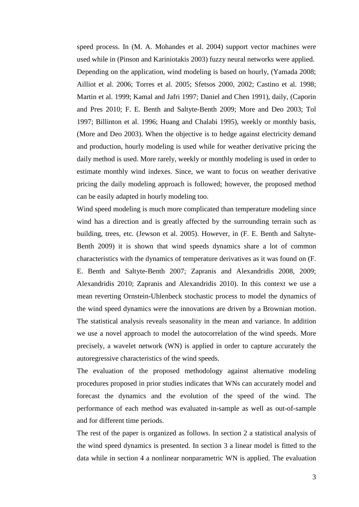<span id="page-3-0"></span>speed process. In (M. A. Mohandes et al. 2004) support vector machines were used while in (Pinson and Kariniotakis 2003) fuzzy neural networks were applied. Depending on the application, wind modeling is based on hourly, (Yamada 2008; Ailliot et al. 2006; Torres et al. 2005; Sfetsos 2000, 2002; Castino et al. 1998; Martin et al. 1999; Kamal and Jafri 1997; Daniel and Chen 1991), daily, (Caporin and Pres 2010; F. E. Benth and Saltyte-Benth 2009; More and Deo 2003; Tol 1997; Billinton et al. 1996; Huang and Chalabi 1995), weekly or monthly basis, (More and Deo 2003). When the objective is to hedge against electricity demand and production, hourly modeling is used while for weather derivative pricing the daily method is used. More rarely, weekly or monthly modeling is used in order to estimate monthly wind indexes. Since, we want to focus on weather derivative pricing the daily modeling approach is followed; however, the proposed method can be easily adapted in hourly modeling too.

Wind speed modeling is much more complicated than temperature modeling since wind has a direction and is greatly affected by the surrounding terrain such as building, trees, etc. (Jewson et al. 2005). However, in (F. E. Benth and Saltyte-Benth 2009) it is shown that wind speeds dynamics share a lot of common characteristics with the dynamics of temperature derivatives as it was found on (F. E. Benth and Saltyte-Benth 2007; Zapranis and Alexandridis 2008, 2009; Alexandridis 2010; Zapranis and Alexandridis 2010). In this context we use a mean reverting Ornstein-Uhlenbeck stochastic process to model the dynamics of the wind speed dynamics were the innovations are driven by a Brownian motion. The statistical analysis reveals seasonality in the mean and variance. In addition we use a novel approach to model the autocorrelation of the wind speeds. More precisely, a wavelet network (WN) is applied in order to capture accurately the autoregressive characteristics of the wind speeds.

The evaluation of the proposed methodology against alternative modeling procedures proposed in prior studies indicates that WNs can accurately model and forecast the dynamics and the evolution of the speed of the wind. The performance of each method was evaluated in-sample as well as out-of-sample and for different time periods.

<span id="page-3-1"></span>The rest of the paper is organized as follows. In section [2](#page-3-0) a statistical analysis of the wind speed dynamics is presented. In section [3](#page-5-0) a linear model is fitted to the data while in section [4](#page-6-0) a nonlinear nonparametric WN is applied. The evaluation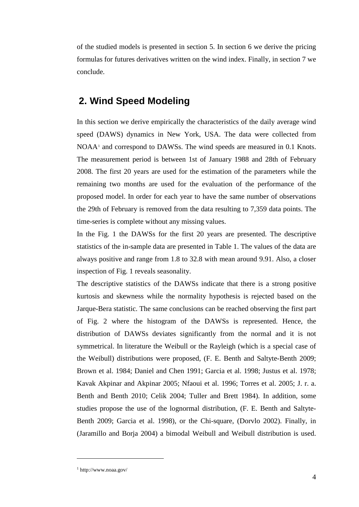of the studied models is presented in section [5.](#page-9-0) In section [6](#page-10-0) we derive the pricing formulas for futures derivatives written on the wind index. Finally, in section [7](#page-13-0) we conclude.

## **2. Wind Speed Modeling**

In this section we derive empirically the characteristics of the daily average wind speed (DAWS) dynamics in New York, USA. The data were collected from NOAA<sup>[1](#page-3-1)</sup> and correspond to DAWSs. The wind speeds are measured in 0.1 Knots. The measurement period is between 1st of January 1988 and 28th of February 2008. The first 20 years are used for the estimation of the parameters while the remaining two months are used for the evaluation of the performance of the proposed model. In order for each year to have the same number of observations the 29th of February is removed from the data resulting to 7,359 data points. The time-series is complete without any missing values.

In the [Fig. 1](#page-16-0) the DAWSs for the first 20 years are presented. The descriptive statistics of the in-sample data are presented in [Table 1.](#page-19-0) The values of the data are always positive and range from 1.8 to 32.8 with mean around 9.91. Also, a closer inspection of [Fig. 1](#page-16-0) reveals seasonality.

The descriptive statistics of the DAWSs indicate that there is a strong positive kurtosis and skewness while the normality hypothesis is rejected based on the Jarque-Bera statistic. The same conclusions can be reached observing the first part of [Fig. 2](#page-16-1) where the histogram of the DAWSs is represented. Hence, the distribution of DAWSs deviates significantly from the normal and it is not symmetrical. In literature the Weibull or the Rayleigh (which is a special case of the Weibull) distributions were proposed, (F. E. Benth and Saltyte-Benth 2009; Brown et al. 1984; Daniel and Chen 1991; Garcia et al. 1998; Justus et al. 1978; Kavak Akpinar and Akpinar 2005; Nfaoui et al. 1996; Torres et al. 2005; J. r. a. Benth and Benth 2010; Celik 2004; Tuller and Brett 1984). In addition, some studies propose the use of the lognormal distribution, (F. E. Benth and Saltyte-Benth 2009; Garcia et al. 1998), or the Chi-square, (Dorvlo 2002). Finally, in (Jaramillo and Borja 2004) a bimodal Weibull and Weibull distribution is used.

<u>.</u>

<sup>1</sup> http://www.noaa.gov/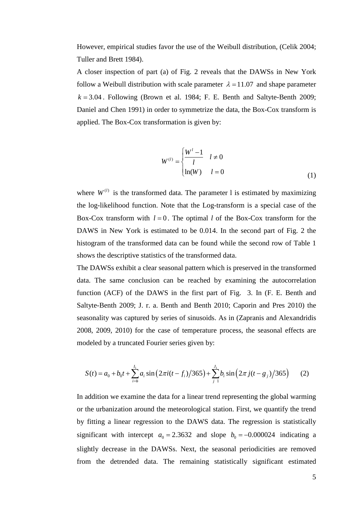However, empirical studies favor the use of the Weibull distribution, (Celik 2004; Tuller and Brett 1984).

<span id="page-5-0"></span>A closer inspection of part (a) of Fig. 2 reveals that the DAWSs in New York follow a Weibull distribution with scale parameter  $\lambda = 11.07$  and shape parameter  $k = 3.04$ . Following (Brown et al. 1984; F. E. Benth and Saltyte-Benth 2009; Daniel and Chen 1991) in order to symmetrize the data, the Box-Cox transform is applied. The Box-Cox transformation is given by:

$$
W^{(l)} = \begin{cases} \frac{W^{l} - 1}{l} & l \neq 0\\ \ln(W) & l = 0 \end{cases}
$$
 (1)

where  $W^{(l)}$  is the transformed data. The parameter l is estimated by maximizing the log-likelihood function. Note that the Log-transform is a special case of the Box-Cox transform with  $l = 0$ . The optimal *l* of the Box-Cox transform for the DAWS in New York is estimated to be 0.014. In the second part of [Fig. 2](#page-16-1) the histogram of the transformed data can be found while the second row of [Table 1](#page-19-0)  shows the descriptive statistics of the transformed data.

The DAWSs exhibit a clear seasonal pattern which is preserved in the transformed data. The same conclusion can be reached by examining the autocorrelation function (ACF) of the DAWS in the first part of [Fig. 3.](#page-17-0) In (F. E. Benth and Saltyte-Benth 2009; J. r. a. Benth and Benth 2010; Caporin and Pres 2010) the seasonality was captured by series of sinusoids. As in (Zapranis and Alexandridis 2008, 2009, 2010) for the case of temperature process, the seasonal effects are modeled by a truncated Fourier series given by:

$$
S(t) = a_0 + b_0 t + \sum_{i=1}^{l_1} a_i \sin(2\pi i (t - f_i)/365) + \sum_{j=1}^{l_1} b_j \sin(2\pi j (t - g_j)/365)
$$
 (2)

In addition we examine the data for a linear trend representing the global warming or the urbanization around the meteorological station. First, we quantify the trend by fitting a linear regression to the DAWS data. The regression is statistically significant with intercept  $a_0 = 2.3632$  and slope  $b_0 = -0.000024$  indicating a slightly decrease in the DAWSs. Next, the seasonal periodicities are removed from the detrended data. The remaining statistically significant estimated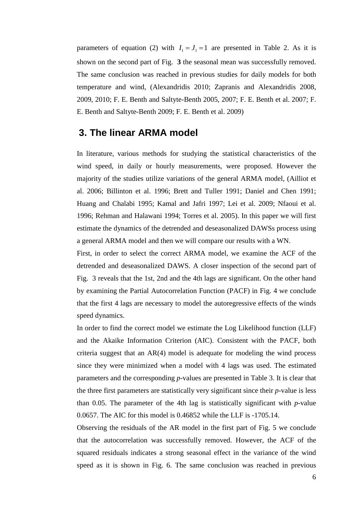parameters of equation (2) with  $I_1 = J_1 = 1$  are presented in [Table 2.](#page-20-0) As it is shown on the second part of [Fig.](#page-17-0) **3** the seasonal mean was successfully removed. The same conclusion was reached in previous studies for daily models for both temperature and wind, (Alexandridis 2010; Zapranis and Alexandridis 2008, 2009, 2010; F. E. Benth and Saltyte-Benth 2005, 2007; F. E. Benth et al. 2007; F. E. Benth and Saltyte-Benth 2009; F. E. Benth et al. 2009)

#### **3. The linear ARMA model**

In literature, various methods for studying the statistical characteristics of the wind speed, in daily or hourly measurements, were proposed. However the majority of the studies utilize variations of the general ARMA model, (Ailliot et al. 2006; Billinton et al. 1996; Brett and Tuller 1991; Daniel and Chen 1991; Huang and Chalabi 1995; Kamal and Jafri 1997; Lei et al. 2009; Nfaoui et al. 1996; Rehman and Halawani 1994; Torres et al. 2005). In this paper we will first estimate the dynamics of the detrended and deseasonalized DAWSs process using a general ARMA model and then we will compare our results with a WN.

First, in order to select the correct ARMA model, we examine the ACF of the detrended and deseasonalized DAWS. A closer inspection of the second part of [Fig. 3](#page-17-0) reveals that the 1st, 2nd and the 4th lags are significant. On the other hand by examining the Partial Autocorrelation Function (PACF) in [Fig. 4](#page-17-1) we conclude that the first 4 lags are necessary to model the autoregressive effects of the winds speed dynamics.

In order to find the correct model we estimate the Log Likelihood function (LLF) and the Akaike Information Criterion (AIC). Consistent with the PACF, both criteria suggest that an AR(4) model is adequate for modeling the wind process since they were minimized when a model with 4 lags was used. The estimated parameters and the corresponding *p*-values are presented in [Table 3.](#page-20-1) It is clear that the three first parameters are statistically very significant since their *p*-value is less than 0.05. The parameter of the 4th lag is statistically significant with *p*-value 0.0657. The AIC for this model is 0.46852 while the LLF is -1705.14.

<span id="page-6-0"></span>Observing the residuals of the AR model in the first part of [Fig. 5](#page-17-2) we conclude that the autocorrelation was successfully removed. However, the ACF of the squared residuals indicates a strong seasonal effect in the variance of the wind speed as it is shown in [Fig. 6.](#page-17-3) The same conclusion was reached in previous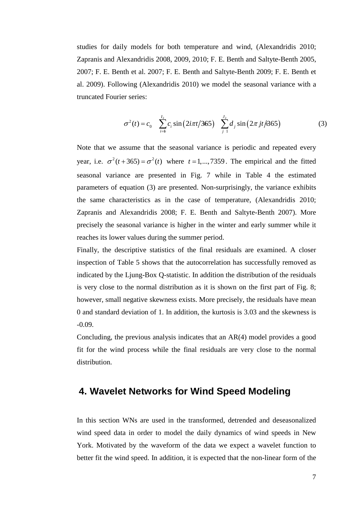studies for daily models for both temperature and wind, (Alexandridis 2010; Zapranis and Alexandridis 2008, 2009, 2010; F. E. Benth and Saltyte-Benth 2005, 2007; F. E. Benth et al. 2007; F. E. Benth and Saltyte-Benth 2009; F. E. Benth et al. 2009). Following (Alexandridis 2010) we model the seasonal variance with a truncated Fourier series:

$$
\sigma^{2}(t) = c_{0} \sum_{i=1}^{I_{2}} c_{i} \sin(2i\pi t/365) \sum_{j=1}^{J_{2}} d_{j} \sin(2\pi j t/365)
$$
 (3)

Note that we assume that the seasonal variance is periodic and repeated every year, i.e.  $\sigma^2(t + 365) = \sigma^2(t)$  where  $t = 1,...,7359$ . The empirical and the fitted seasonal variance are presented in [Fig. 7](#page-18-0) while in [Table 4](#page-20-2) the estimated parameters of equation (3) are presented. Non-surprisingly, the variance exhibits the same characteristics as in the case of temperature, (Alexandridis 2010; Zapranis and Alexandridis 2008; F. E. Benth and Saltyte-Benth 2007). More precisely the seasonal variance is higher in the winter and early summer while it reaches its lower values during the summer period.

Finally, the descriptive statistics of the final residuals are examined. A closer inspection of [Table 5](#page-20-3) shows that the autocorrelation has successfully removed as indicated by the Ljung-Box Q-statistic. In addition the distribution of the residuals is very close to the normal distribution as it is shown on the first part of [Fig. 8;](#page-18-1) however, small negative skewness exists. More precisely, the residuals have mean 0 and standard deviation of 1. In addition, the kurtosis is 3.03 and the skewness is -0.09.

Concluding, the previous analysis indicates that an AR(4) model provides a good fit for the wind process while the final residuals are very close to the normal distribution.

#### **4. Wavelet Networks for Wind Speed Modeling**

In this section WNs are used in the transformed, detrended and deseasonalized wind speed data in order to model the daily dynamics of wind speeds in New York. Motivated by the waveform of the data we expect a wavelet function to better fit the wind speed. In addition, it is expected that the non-linear form of the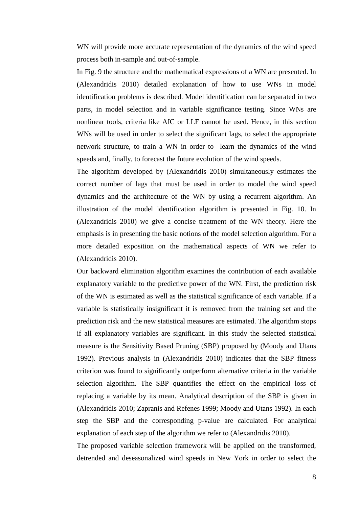WN will provide more accurate representation of the dynamics of the wind speed process both in-sample and out-of-sample.

In [Fig. 9](#page-18-2) the structure and the mathematical expressions of a WN are presented. In (Alexandridis 2010) detailed explanation of how to use WNs in model identification problems is described. Model identification can be separated in two parts, in model selection and in variable significance testing. Since WNs are nonlinear tools, criteria like AIC or LLF cannot be used. Hence, in this section WNs will be used in order to select the significant lags, to select the appropriate network structure, to train a WN in order to learn the dynamics of the wind speeds and, finally, to forecast the future evolution of the wind speeds.

The algorithm developed by (Alexandridis 2010) simultaneously estimates the correct number of lags that must be used in order to model the wind speed dynamics and the architecture of the WN by using a recurrent algorithm. An illustration of the model identification algorithm is presented in [Fig. 10.](#page-19-1) In (Alexandridis 2010) we give a concise treatment of the WN theory. Here the emphasis is in presenting the basic notions of the model selection algorithm. For a more detailed exposition on the mathematical aspects of WN we refer to (Alexandridis 2010).

Our backward elimination algorithm examines the contribution of each available explanatory variable to the predictive power of the WN. First, the prediction risk of the WN is estimated as well as the statistical significance of each variable. If a variable is statistically insignificant it is removed from the training set and the prediction risk and the new statistical measures are estimated. The algorithm stops if all explanatory variables are significant. In this study the selected statistical measure is the Sensitivity Based Pruning (SBP) proposed by (Moody and Utans 1992). Previous analysis in (Alexandridis 2010) indicates that the SBP fitness criterion was found to significantly outperform alternative criteria in the variable selection algorithm. The SBP quantifies the effect on the empirical loss of replacing a variable by its mean. Analytical description of the SBP is given in (Alexandridis 2010; Zapranis and Refenes 1999; Moody and Utans 1992). In each step the SBP and the corresponding p-value are calculated. For analytical explanation of each step of the algorithm we refer to (Alexandridis 2010).

The proposed variable selection framework will be applied on the transformed, detrended and deseasonalized wind speeds in New York in order to select the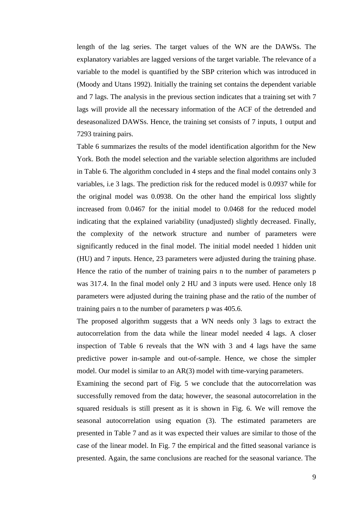length of the lag series. The target values of the WN are the DAWSs. The explanatory variables are lagged versions of the target variable. The relevance of a variable to the model is quantified by the SBP criterion which was introduced in (Moody and Utans 1992). Initially the training set contains the dependent variable and 7 lags. The analysis in the previous section indicates that a training set with 7 lags will provide all the necessary information of the ACF of the detrended and deseasonalized DAWSs. Hence, the training set consists of 7 inputs, 1 output and 7293 training pairs.

<span id="page-9-0"></span>[Table 6](#page-20-4) summarizes the results of the model identification algorithm for the New York. Both the model selection and the variable selection algorithms are included in [Table 6.](#page-20-4) The algorithm concluded in 4 steps and the final model contains only 3 variables, i.e 3 lags. The prediction risk for the reduced model is 0.0937 while for the original model was 0.0938. On the other hand the empirical loss slightly increased from 0.0467 for the initial model to 0.0468 for the reduced model indicating that the explained variability (unadjusted) slightly decreased. Finally, the complexity of the network structure and number of parameters were significantly reduced in the final model. The initial model needed 1 hidden unit (HU) and 7 inputs. Hence, 23 parameters were adjusted during the training phase. Hence the ratio of the number of training pairs n to the number of parameters p was 317.4. In the final model only 2 HU and 3 inputs were used. Hence only 18 parameters were adjusted during the training phase and the ratio of the number of training pairs n to the number of parameters p was 405.6.

The proposed algorithm suggests that a WN needs only 3 lags to extract the autocorrelation from the data while the linear model needed 4 lags. A closer inspection of [Table 6](#page-20-4) reveals that the WN with 3 and 4 lags have the same predictive power in-sample and out-of-sample. Hence, we chose the simpler model. Our model is similar to an AR(3) model with time-varying parameters.

Examining the second part of [Fig. 5](#page-17-2) we conclude that the autocorrelation was successfully removed from the data; however, the seasonal autocorrelation in the squared residuals is still present as it is shown in [Fig. 6.](#page-17-3) We will remove the seasonal autocorrelation using equation (3). The estimated parameters are presented in [Table 7](#page-20-5) and as it was expected their values are similar to those of the case of the linear model. In [Fig. 7](#page-18-0) the empirical and the fitted seasonal variance is presented. Again, the same conclusions are reached for the seasonal variance. The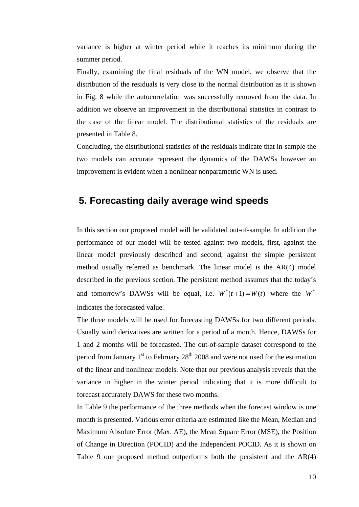variance is higher at winter period while it reaches its minimum during the summer period.

Finally, examining the final residuals of the WN model, we observe that the distribution of the residuals is very close to the normal distribution as it is shown in [Fig. 8](#page-18-1) while the autocorrelation was successfully removed from the data. In addition we observe an improvement in the distributional statistics in contrast to the case of the linear model. The distributional statistics of the residuals are presented in [Table 8.](#page-20-6)

Concluding, the distributional statistics of the residuals indicate that in-sample the two models can accurate represent the dynamics of the DAWSs however an improvement is evident when a nonlinear nonparametric WN is used.

## **5. Forecasting daily average wind speeds**

In this section our proposed model will be validated out-of-sample. In addition the performance of our model will be tested against two models, first, against the linear model previously described and second, against the simple persistent method usually referred as benchmark. The linear model is the AR(4) model described in the previous section. The persistent method assumes that the today's and tomorrow's DAWSs will be equal, i.e.  $W^*(t+1) = W(t)$  where the  $W^*$ indicates the forecasted value.

<span id="page-10-0"></span>The three models will be used for forecasting DAWSs for two different periods. Usually wind derivatives are written for a period of a month. Hence, DAWSs for 1 and 2 months will be forecasted. The out-of-sample dataset correspond to the period from January  $1<sup>st</sup>$  to February 28<sup>th</sup> 2008 and were not used for the estimation of the linear and nonlinear models. Note that our previous analysis reveals that the variance in higher in the winter period indicating that it is more difficult to forecast accurately DAWS for these two months.

In [Table 9](#page-21-0) the performance of the three methods when the forecast window is one month is presented. Various error criteria are estimated like the Mean, Median and Maximum Absolute Error (Max. AE), the Mean Square Error (MSE), the Position of Change in Direction (POCID) and the Independent POCID. As it is shown on [Table 9](#page-21-0) our proposed method outperforms both the persistent and the AR(4)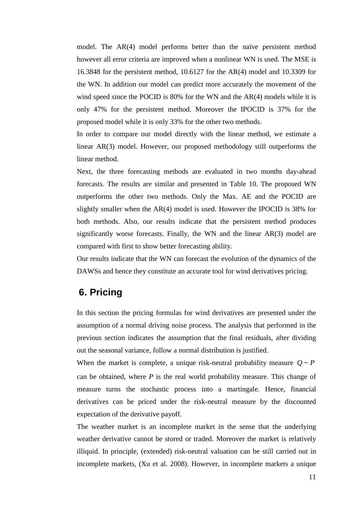model. The AR(4) model performs better than the naïve persistent method however all error criteria are improved when a nonlinear WN is used. The MSE is 16.3848 for the persistent method, 10.6127 for the AR(4) model and 10.3309 for the WN. In addition our model can predict more accurately the movement of the wind speed since the POCID is 80% for the WN and the AR(4) models while it is only 47% for the persistent method. Moreover the IPOCID is 37% for the proposed model while it is only 33% for the other two methods.

In order to compare our model directly with the linear method, we estimate a linear AR(3) model. However, our proposed methodology still outperforms the linear method.

Next, the three forecasting methods are evaluated in two months day-ahead forecasts. The results are similar and presented in [Table 10.](#page-21-1) The proposed WN outperforms the other two methods. Only the Max. AE and the POCID are slightly smaller when the AR(4) model is used. However the IPOCID is 38% for both methods. Also, our results indicate that the persistent method produces significantly worse forecasts. Finally, the WN and the linear AR(3) model are compared with first to show better forecasting ability.

Our results indicate that the WN can forecast the evolution of the dynamics of the DAWSs and hence they constitute an accurate tool for wind derivatives pricing.

## **6. Pricing**

In this section the pricing formulas for wind derivatives are presented under the assumption of a normal driving noise process. The analysis that performed in the previous section indicates the assumption that the final residuals, after dividing out the seasonal variance, follow a normal distribution is justified.

When the market is complete, a unique risk-neutral probability measure  $Q \sim P$ can be obtained, where *P* is the real world probability measure. This change of measure turns the stochastic process into a martingale. Hence, financial derivatives can be priced under the risk-neutral measure by the discounted expectation of the derivative payoff.

The weather market is an incomplete market in the sense that the underlying weather derivative cannot be stored or traded. Moreover the market is relatively illiquid. In principle, (extended) risk-neutral valuation can be still carried out in incomplete markets, (Xu et al. 2008). However, in incomplete markets a unique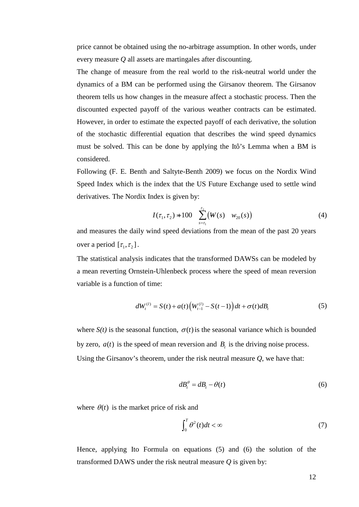price cannot be obtained using the no-arbitrage assumption. In other words, under every measure *Q* all assets are martingales after discounting.

The change of measure from the real world to the risk-neutral world under the dynamics of a BM can be performed using the Girsanov theorem. The Girsanov theorem tells us how changes in the measure affect a stochastic process. Then the discounted expected payoff of the various weather contracts can be estimated. However, in order to estimate the expected payoff of each derivative, the solution of the stochastic differential equation that describes the wind speed dynamics must be solved. This can be done by applying the Itô's Lemma when a BM is considered.

Following (F. E. Benth and Saltyte-Benth 2009) we focus on the Nordix Wind Speed Index which is the index that the US Future Exchange used to settle wind derivatives. The Nordix Index is given by:

$$
I(\tau_1, \tau_2) = 100 \sum_{s=\tau_1}^{\tau_2} \big( W(s) \quad w_{20}(s) \big) \tag{4}
$$

and measures the daily wind speed deviations from the mean of the past 20 years over a period  $[\tau_1, \tau_2]$ .

The statistical analysis indicates that the transformed DAWSs can be modeled by a mean reverting Ornstein-Uhlenbeck process where the speed of mean reversion variable is a function of time:

$$
dW_t^{(l)} = S(t) + a(t) \Big( W_{t-1}^{(l)} - S(t-1) \Big) dt + \sigma(t) dB_t
$$
\n(5)

where  $S(t)$  is the seasonal function,  $\sigma(t)$  is the seasonal variance which is bounded by zero,  $a(t)$  is the speed of mean reversion and  $B<sub>t</sub>$  is the driving noise process. Using the Girsanov's theorem, under the risk neutral measure *Q*, we have that:

$$
dB_t^{\theta} = dB_t - \theta(t) \tag{6}
$$

where  $\theta(t)$  is the market price of risk and

$$
\int_0^T \theta^2(t)dt < \infty \tag{7}
$$

Hence, applying Ito Formula on equations (5) and (6) the solution of the transformed DAWS under the risk neutral measure *Q* is given by: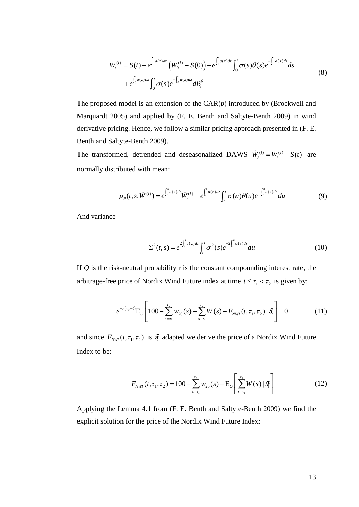$$
W_t^{(l)} = S(t) + e^{\int_0^t a(z)dz} \left( W_0^{(l)} - S(0) \right) + e^{\int_0^t a(z)dz} \int_0^t \sigma(s) \theta(s) e^{-\int_0^s a(z)dz} ds + e^{\int_0^t a(z)dz} \int_0^t \sigma(s) e^{-\int_0^s a(z)dz} dB_t^{\theta}
$$
\n(8)

The proposed model is an extension of the CAR(*p*) introduced by (Brockwell and Marquardt 2005) and applied by (F. E. Benth and Saltyte-Benth 2009) in wind derivative pricing. Hence, we follow a similar pricing approach presented in (F. E. Benth and Saltyte-Benth 2009).

<span id="page-13-0"></span>The transformed, detrended and deseasonalized DAWS  $\tilde{W}_t^{(l)} = W_t^{(l)} - S(t)$  are normally distributed with mean:

$$
\mu_{\theta}(t,s,\tilde{W}^{(l)}_{t}) = e^{\int_{t}^{s} a(z)dz} \tilde{W}^{(l)}_{s} + e^{\int_{t}^{s} a(z)dz} \int_{t}^{s} \sigma(u)\theta(u)e^{-\int_{t}^{u} a(z)dz} du
$$
(9)

And variance

$$
\Sigma^{2}(t,s) = e^{2\int_{t}^{s} a(z)dz} \int_{t}^{s} \sigma^{2}(s) e^{-2\int_{t}^{u} a(z)dz} du
$$
 (10)

If *Q* is the risk-neutral probability r is the constant compounding interest rate, the arbitrage-free price of Nordix Wind Future index at time  $t \leq \tau_1 < \tau_2$  is given by:

$$
e^{-r(\tau_2 - t)} \mathcal{E}_{Q} \left[ 100 - \sum_{s=\tau_1}^{\tau_2} w_{20}(s) + \sum_{s=\tau_1}^{\tau_2} W(s) - F_{NWI}(t, \tau_1, \tau_2) \, | \, \mathcal{F}_{t} \right] = 0 \tag{11}
$$

and since  $F_{NWI}(t, \tau_1, \tau_2)$  is  $\mathcal{F}_t$  adapted we derive the price of a Nordix Wind Future Index to be:

$$
F_{NWI}(t, \tau_1, \tau_2) = 100 - \sum_{s=\tau_1}^{\tau_2} w_{20}(s) + \mathcal{E}_{Q} \left[ \sum_{s=\tau_1}^{\tau_2} W(s) \, | \, \mathcal{F}_t \right] \tag{12}
$$

Applying the Lemma 4.1 from (F. E. Benth and Saltyte-Benth 2009) we find the explicit solution for the price of the Nordix Wind Future Index: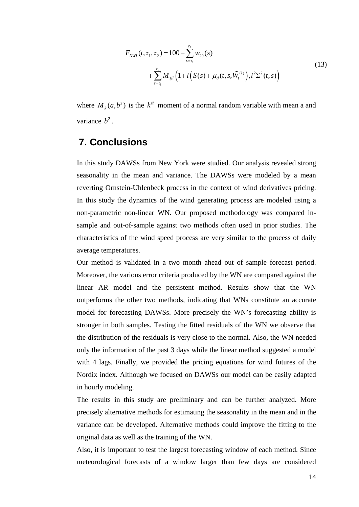$$
F_{NWI}(t, \tau_1, \tau_2) = 100 - \sum_{s=\tau_1}^{\tau_2} w_{20}(s)
$$
  
+ 
$$
\sum_{s=\tau_1}^{\tau_2} M_{1/l} \left( 1 + l \left( S(s) + \mu_\theta(t, s, \tilde{W}_t^{(l)}) \right), l^2 \Sigma^2(t, s) \right)
$$
 (13)

where  $M_k(a, b^2)$  is the  $k^{th}$  moment of a normal random variable with mean a and variance  $b^2$ .

### **7. Conclusions**

In this study DAWSs from New York were studied. Our analysis revealed strong seasonality in the mean and variance. The DAWSs were modeled by a mean reverting Ornstein-Uhlenbeck process in the context of wind derivatives pricing. In this study the dynamics of the wind generating process are modeled using a non-parametric non-linear WN. Our proposed methodology was compared insample and out-of-sample against two methods often used in prior studies. The characteristics of the wind speed process are very similar to the process of daily average temperatures.

Our method is validated in a two month ahead out of sample forecast period. Moreover, the various error criteria produced by the WN are compared against the linear AR model and the persistent method. Results show that the WN outperforms the other two methods, indicating that WNs constitute an accurate model for forecasting DAWSs. More precisely the WN's forecasting ability is stronger in both samples. Testing the fitted residuals of the WN we observe that the distribution of the residuals is very close to the normal. Also, the WN needed only the information of the past 3 days while the linear method suggested a model with 4 lags. Finally, we provided the pricing equations for wind futures of the Nordix index. Although we focused on DAWSs our model can be easily adapted in hourly modeling.

The results in this study are preliminary and can be further analyzed. More precisely alternative methods for estimating the seasonality in the mean and in the variance can be developed. Alternative methods could improve the fitting to the original data as well as the training of the WN.

Also, it is important to test the largest forecasting window of each method. Since meteorological forecasts of a window larger than few days are considered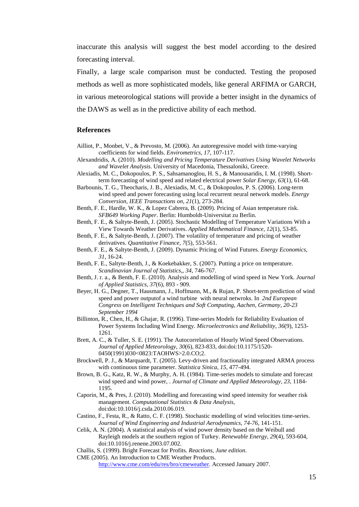inaccurate this analysis will suggest the best model according to the desired forecasting interval.

Finally, a large scale comparison must be conducted. Testing the proposed methods as well as more sophisticated models, like general ARFIMA or GARCH, in various meteorological stations will provide a better insight in the dynamics of the DAWS as well as in the predictive ability of each method.

#### **References**

- Ailliot, P., Monbet, V., & Prevosto, M. (2006). An autoregressive model with time-varying coefficients for wind fields. *Envirometrics, 17*, 107-117.
- Alexandridis, A. (2010). *Modelling and Pricing Temperature Derivatives Using Wavelet Networks and Wavelet Analysis*. University of Macedonia, Thessaloniki, Greece.
- Alexiadis, M. C., Dokopoulos, P. S., Sahsamanoglou, H. S., & Manousaridis, I. M. (1998). Shortterm forecasting of wind speed and related electrical power *Solar Energy, 63*(1), 61-68.
- Barbounis, T. G., Theocharis, J. B., Alexiadis, M. C., & Dokopoulos, P. S. (2006). Long-term wind speed and power forecasting using local recurrent neural network models. *Energy Conversion, IEEE Transactions on, 21*(1), 273-284.
- Benth, F. E., Hardle, W. K., & Lopez Cabrera, B. (2009). Pricing of Asian temperature risk. *SFB649 Working Paper*. Berlin: Humboldt-Universitat zu Berlin.
- Benth, F. E., & Saltyte-Benth, J. (2005). Stochastic Modelling of Temperature Variations With a View Towards Weather Derivatives. *Applied Mathematical Finance, 12*(1), 53-85.
- Benth, F. E., & Saltyte-Benth, J. (2007). The volatility of temperature and pricing of weather derivatives. *Quantitative Finance, 7*(5), 553-561.
- Benth, F. E., & Saltyte-Benth, J. (2009). Dynamic Pricing of Wind Futures. *Energy Economics, 31*, 16-24.
- Benth, F. E., Saltyte-Benth, J., & Koekebakker, S. (2007). Putting a price on temperature. *Scandinavian Journal of Statistics,, 34*, 746-767.
- Benth, J. r. a., & Benth, F. E. (2010). Analysis and modelling of wind speed in New York. *Journal of Applied Statistics, 37*(6), 893 - 909.
- Beyer, H. G., Degner, T., Hausmann, J., Hoffmann, M., & Rujan, P. Short-term prediction of wind speed and power outputof a wind turbine with neural netwroks. In *2nd European Congress on Intelligent Techniques and Soft Computing, Aachen, Germany, 20-23 September 1994*
- Billinton, R., Chen, H., & Ghajar, R. (1996). Time-series Models for Reliability Evaluation of Power Systems Including Wind Energy. *Microelectronics and Reliability, 36*(9), 1253- 1261.
- Brett, A. C., & Tuller, S. E. (1991). The Autocorrelation of Hourly Wind Speed Observations. *Journal of Applied Meteorology, 30*(6), 823-833, doi:doi:10.1175/1520- 0450(1991)030<0823:TAOHWS>2.0.CO;2.
- Brockwell, P. J., & Marquardt, T. (2005). Levy-driven and fractionality integrated ARMA process with continuous time parameter. *Statistica Sinica, 15*, 477-494.
- Brown, B. G., Katz, R. W., & Murphy, A. H. (1984). Time-series models to simulate and forecast wind speed and wind power, . *Journal of Climate and Applied Meteorology, 23*, 1184- 1195.
- Caporin, M., & Pres, J. (2010). Modelling and forecasting wind speed intensity for weather risk management. *Computational Statistics & Data Analysis*, doi:doi:10.1016/j.csda.2010.06.019.
- Castino, F., Festa, R., & Ratto, C. F. (1998). Stochastic modelling of wind velocities time-series. *Journal of Wind Engineering and Industrial Aerodynamics, 74-76*, 141-151.
- Celik, A. N. (2004). A statistical analysis of wind power density based on the Weibull and Rayleigh models at the southern region of Turkey. *Renewable Energy, 29*(4), 593-604, doi:10.1016/j.renene.2003.07.002.
- Challis, S. (1999). Bright Forecast for Profits. *Reactions, June edition*.
- CME (2005). An Introduction to CME Weather Products.

[http://www.cme.com/edu/res/bro/cmeweather.](http://www.cme.com/edu/res/bro/cmeweather) Accessed January 2007.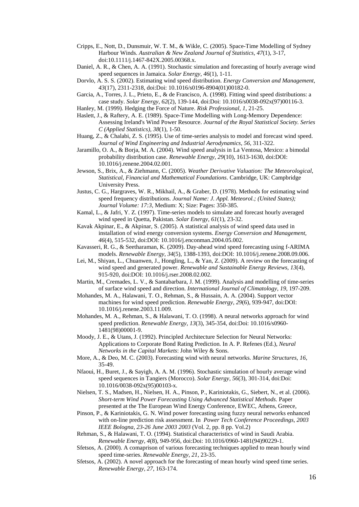- Cripps, E., Nott, D., Dunsmuir, W. T. M., & Wikle, C. (2005). Space-Time Modelling of Sydney Harbour Winds. *Australian & New Zealand Journal of Statistics, 47*(1), 3-17, doi:10.1111/j.1467-842X.2005.00368.x.
- Daniel, A. R., & Chen, A. A. (1991). Stochastic simulation and forecasting of hourly average wind speed sequences in Jamaica. *Solar Energy, 46*(1), 1-11.
- Dorvlo, A. S. S. (2002). Estimating wind speed distribution. *Energy Conversion and Management, 43*(17), 2311-2318, doi:Doi: 10.1016/s0196-8904(01)00182-0.
- Garcia, A., Torres, J. L., Prieto, E., & de Francisco, A. (1998). Fitting wind speed distributions: a case study. *Solar Energy, 62*(2), 139-144, doi:Doi: 10.1016/s0038-092x(97)00116-3.
- Hanley, M. (1999). Hedging the Force of Nature. *Risk Professional, 1*, 21-25.
- Haslett, J., & Raftery, A. E. (1989). Space-Time Modelling with Long-Memory Dependence: Assessing Ireland's Wind Power Resource. *Journal of the Royal Statistical Society. Series C (Applied Statistics), 38*(1), 1-50.
- Huang, Z., & Chalabi, Z. S. (1995). Use of time-series analysis to model and forecast wind speed. *Journal of Wind Engineering and Industrial Aerodynamics, 56*, 311-322.
- Jaramillo, O. A., & Borja, M. A. (2004). Wind speed analysis in La Ventosa, Mexico: a bimodal probability distribution case. *Renewable Energy, 29*(10), 1613-1630, doi:DOI: 10.1016/j.renene.2004.02.001.
- Jewson, S., Brix, A., & Ziehmann, C. (2005). *Weather Derivative Valuation: The Meteorological, Statistical, Financial and Mathematical Foundations*. Cambridge, UK: Campbridge University Press.
- Justus, C. G., Hargraves, W. R., Mikhail, A., & Graber, D. (1978). Methods for estimating wind speed frequency distributions. *Journal Name: J. Appl. Meteorol.; (United States); Journal Volume: 17:3*, Medium: X; Size: Pages: 350-385.
- Kamal, L., & Jafri, Y. Z. (1997). Time-series models to simulate and forecast hourly averaged wind speed in Quetta, Pakistan. *Solar Energy, 61*(1), 23-32.
- Kavak Akpinar, E., & Akpinar, S. (2005). A statistical analysis of wind speed data used in installation of wind energy conversion systems. *Energy Conversion and Management, 46*(4), 515-532, doi:DOI: 10.1016/j.enconman.2004.05.002.
- Kavasseri, R. G., & Seetharaman, K. (2009). Day-ahead wind speed forecasting using f-ARIMA models. *Renewable Energy, 34*(5), 1388-1393, doi:DOI: 10.1016/j.renene.2008.09.006.
- Lei, M., Shiyan, L., Chuanwen, J., Hongling, L., & Yan, Z. (2009). A review on the forecasting of wind speed and generated power. *Renewable and Sustainable Energy Reviews, 13*(4), 915-920, doi:DOI: 10.1016/j.rser.2008.02.002.
- Martin, M., Cremades, L. V., & Santabarbara, J. M. (1999). Analysis and modelling of time-series of surface wind speed and direction. *International Journal of Climatology, 19*, 197-209.
- Mohandes, M. A., Halawani, T. O., Rehman, S., & Hussain, A. A. (2004). Support vector machines for wind speed prediction. *Renewable Energy, 29*(6), 939-947, doi:DOI: 10.1016/j.renene.2003.11.009.
- Mohandes, M. A., Rehman, S., & Halawani, T. O. (1998). A neural networks approach for wind speed prediction. *Renewable Energy, 13*(3), 345-354, doi:Doi: 10.1016/s0960- 1481(98)00001-9.
- Moody, J. E., & Utans, J. (1992). Principled Architecture Selection for Neural Networks: Applications to Corporate Bond Rating Prediction. In A. P. Refenes (Ed.), *Neural Networks in the Capital Markets*: John Wiley & Sons.
- <span id="page-16-0"></span>More, A., & Deo, M. C. (2003). Forecasting wind with neural networks. *Marine Structures, 16*, 35-49.
- Nfaoui, H., Buret, J., & Sayigh, A. A. M. (1996). Stochastic simulation of hourly average wind speed sequences in Tangiers (Morocco). *Solar Energy, 56*(3), 301-314, doi:Doi: 10.1016/0038-092x(95)00103-x.
- Nielsen, T. S., Madsen, H., Nielsen, H. A., Pinson, P., Kariniotakis, G., Siebert, N., et al. (2006). *Short-term Wind Power Forecasting Using Advanced Statistical Methods.* Paper presented at the The European Wind Energy Conference, EWEC, Athens, Greece,
- Pinson, P., & Kariniotakis, G. N. Wind power forecasting using fuzzy neural networks enhanced with on-line prediction risk assessment. In *Power Tech Conference Proceedings, 2003 IEEE Bologna, 23-26 June 2003 2003* (Vol. 2, pp. 8 pp. Vol.2)
- Rehman, S., & Halawani, T. O. (1994). Statistical characteristics of wind in Saudi Arabia. *Renewable Energy, 4*(8), 949-956, doi:Doi: 10.1016/0960-1481(94)90229-1.
- Sfetsos, A. (2000). A comaprison of various forecasting techniques applied to mean hourly wind speed time-series. *Renewable Energy, 21*, 23-35.
- <span id="page-16-1"></span>Sfetsos, A. (2002). A novel approach for the forecasting of mean hourly wind speed time series. *Renewable Energy, 27*, 163-174.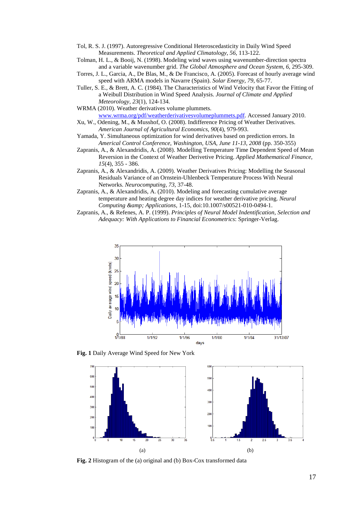- Tol, R. S. J. (1997). Autoregressive Conditional Heteroscedasticity in Daily Wind Speed Measurements. *Theoretical and Applied Climatology, 56*, 113-122.
- Tolman, H. L., & Booij, N. (1998). Modeling wind waves using wavenumber-direction spectra and a variable wavenumber grid. *The Global Atmosphere and Ocean System, 6*, 295-309.
- Torres, J. L., Garcia, A., De Blas, M., & De Francisco, A. (2005). Forecast of hourly average wind speed with ARMA models in Navarre (Spain). *Solar Energy, 79*, 65-77.
- Tuller, S. E., & Brett, A. C. (1984). The Characteristics of Wind Velocity that Favor the Fitting of a Weibull Distribution in Wind Speed Analysis. *Journal of Climate and Applied Meteorology, 23*(1), 124-134.
- WRMA (2010). Weather derivatives volume plummets.
- [www.wrma.org/pdf/weatherderivativesvolumeplummets.pdf.](http://www.wrma.org/pdf/weatherderivativesvolumeplummets.pdf) Accessed January 2010. Xu, W., Odening, M., & Musshof, O. (2008). Indifference Pricing of Weather Derivatives.
- <span id="page-17-0"></span>*American Journal of Agricultural Economics, 90*(4), 979-993.
- Yamada, Y. Simultaneous optimization for wind derivatives based on prediction errors. In *Americal Control Conference, Washington, USA, June 11-13, 2008* (pp. 350-355)
- Zapranis, A., & Alexandridis, A. (2008). Modelling Temperature Time Dependent Speed of Mean Reversion in the Context of Weather Derivetive Pricing. *Applied Mathematical Finance, 15*(4), 355 - 386.
- Zapranis, A., & Alexandridis, A. (2009). Weather Derivatives Pricing: Modelling the Seasonal Residuals Variance of an Ornstein-Uhlenbeck Temperature Process With Neural Networks. *Neurocomputing, 73*, 37-48.
- Zapranis, A., & Alexandridis, A. (2010). Modeling and forecasting cumulative average temperature and heating degree day indices for weather derivative pricing. *Neural Computing & Applications*, 1-15, doi:10.1007/s00521-010-0494-1.
- Zapranis, A., & Refenes, A. P. (1999). *Principles of Neural Model Indentification, Selection and Adequacy: With Applications to Financial Econometrics*: Springer-Verlag.

<span id="page-17-1"></span>

<span id="page-17-2"></span>**Fig. 1** Daily Average Wind Speed for New York



<span id="page-17-3"></span>**Fig. 2** Histogram of the (a) original and (b) Box-Cox transformed data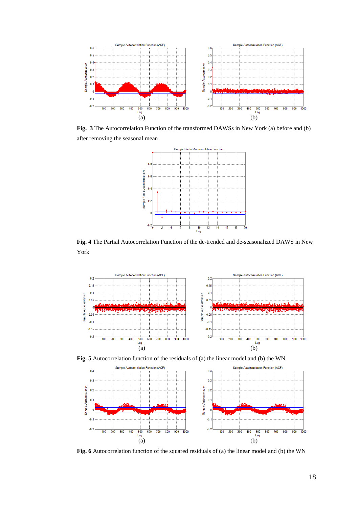

<span id="page-18-0"></span>after removing the seasonal mean



<span id="page-18-1"></span>**Fig. 4** The Partial Autocorrelation Function of the de-trended and de-seasonalized DAWS in New York



**Fig. 5** Autocorrelation function of the residuals of (a) the linear model and (b) the WN



<span id="page-18-2"></span>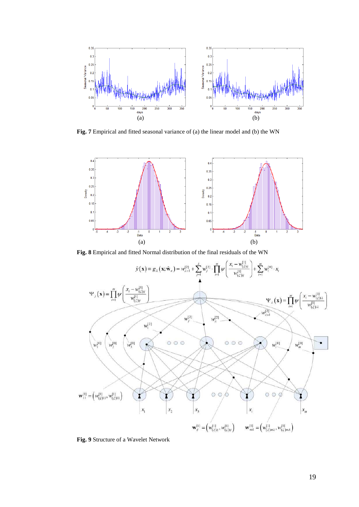

**Fig. 7** Empirical and fitted seasonal variance of (a) the linear model and (b) the WN



**Fig. 8** Empirical and fitted Normal distribution of the final residuals of the WN



<span id="page-19-1"></span><span id="page-19-0"></span>**Fig. 9** Structure of a Wavelet Network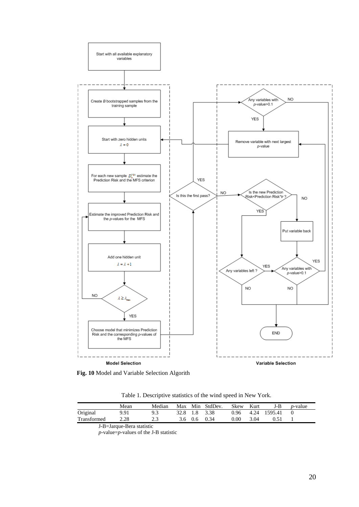<span id="page-20-3"></span><span id="page-20-2"></span><span id="page-20-1"></span><span id="page-20-0"></span>

<span id="page-20-6"></span><span id="page-20-5"></span><span id="page-20-4"></span>**Fig. 10** Model and Variable Selection Algorith

Table 1. Descriptive statistics of the wind speed in New York.

|             | Mean | Median |     |               | Max Min StdDev. | Skew | Kurt | J-B          | <i>p</i> -value |  |
|-------------|------|--------|-----|---------------|-----------------|------|------|--------------|-----------------|--|
| Original    | 9.91 | 9.3    |     | 32.8 1.8 3.38 |                 | 0.96 |      | 4.24 1595.41 |                 |  |
| Transformed | 2.28 |        | 3.6 |               | $0.6$ 0.34      | 0.00 | 3.04 | 0.51         |                 |  |

J-B=Jarque-Bera statistic

*p*-value=*p*-values of the J-B statistic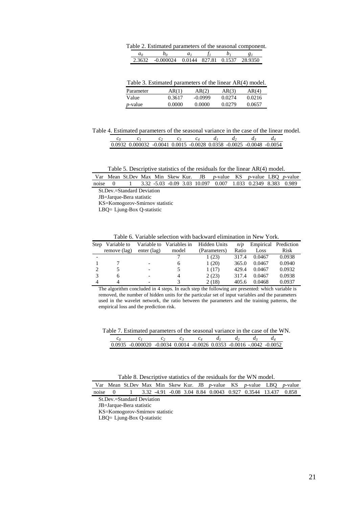<span id="page-21-0"></span>Table 2. Estimated parameters of the seasonal component.

| 2.3632 | $-0.000024$ |  | 0.0144 827.81 0.1537 28.9350 |
|--------|-------------|--|------------------------------|

| Table 3. Estimated parameters of the linear AR(4) model. |        |           |        |        |
|----------------------------------------------------------|--------|-----------|--------|--------|
| Parameter                                                | AR(1)  | AR(2)     | AR(3)  | AR(4)  |
| Value                                                    | 0.3617 | $-0.0999$ | 0.0274 | 0.0216 |
| $p$ -value                                               | 0.0000 | 0.0000    | 0.0279 | 0.0657 |

Table 4. Estimated parameters of the seasonal variance in the case of the linear model.

| $0.0932$ $0.000032$ $-0.0041$ $0.0015$ $-0.0028$ $0.0358$ $-0.0025$ $-0.0048$ $-0.0054$ |  |  |  |  |
|-----------------------------------------------------------------------------------------|--|--|--|--|

|  |  |  |  |  | Table 5. Descriptive statistics of the residuals for the linear $AR(4)$ model.                                                            |  |
|--|--|--|--|--|-------------------------------------------------------------------------------------------------------------------------------------------|--|
|  |  |  |  |  | $U_{\alpha\alpha}$ Moon $\mathfrak{C}^*$ Doy Moy Min $\mathfrak{C}^*$ low $U_{\alpha\alpha}$ ID a volvo $V\mathfrak{C}$ a volvo IDO a vol |  |

|  |                            |  |  |                                                                       |  | Var Mean St.Dev Max Min Skew Kur. JB p-value KS p-value LBO p-value |
|--|----------------------------|--|--|-----------------------------------------------------------------------|--|---------------------------------------------------------------------|
|  |                            |  |  | noise 0 1 3.32 -5.03 -0.09 3.03 10.097 0.007 1.033 0.2349 8.383 0.989 |  |                                                                     |
|  | St.Dev.=Standard Deviation |  |  |                                                                       |  |                                                                     |

JB=Jarque-Bera statistic

KS=Komogorov-Smirnov statistic

LBQ= Ljung-Box Q-statistic

Table 6. Variable selection with backward elimination in New York.

<span id="page-21-1"></span>

| Step | Variable to  |                          | Variable to Variables in | Hidden Units | n/p   |        | Empirical Prediction |
|------|--------------|--------------------------|--------------------------|--------------|-------|--------|----------------------|
|      | remove (lag) | enter (lag)              | model                    | (Parameters) | Ratio | Loss   | Risk                 |
|      |              |                          |                          | 1(23)        | 317.4 | 0.0467 | 0.0938               |
|      |              | $\overline{\phantom{a}}$ | n                        | 1(20)        | 365.0 | 0.0467 | 0.0940               |
|      |              |                          |                          | 1(17)        | 429.4 | 0.0467 | 0.0932               |
|      |              |                          |                          | 2(23)        | 317.4 | 0.0467 | 0.0938               |
|      |              | $\overline{\phantom{a}}$ |                          | 2(18)        | 405.6 | 0.0468 | 0.0937               |

The algorithm concluded in 4 steps. In each step the following are presented: which variable is removed, the number of hidden units for the particular set of input variables and the parameters used in the wavelet network, the ratio between the parameters and the training patterns, the empirical loss and the prediction risk.

Table 7. Estimated parameters of the seasonal variance in the case of the WN.

| $0.0935 - 0.000020 - 0.0034 - 0.0014 - 0.0026 - 0.0353 - 0.0016 - 0.042 - 0.0052$ |  |  |  |  |
|-----------------------------------------------------------------------------------|--|--|--|--|

Table 8. Descriptive statistics of the residuals for the WN model.

|         |  |  |  |  |                                                               | Var Mean St. Dev Max Min Skew Kur. JB $p$ -value KS $p$ -value LBQ $p$ -value |
|---------|--|--|--|--|---------------------------------------------------------------|-------------------------------------------------------------------------------|
| noise 0 |  |  |  |  | 1 3.32 -4.91 -0.08 3.04 8.84 0.0043 0.927 0.3544 13.437 0.858 |                                                                               |

St.Dev.=Standard Deviation

JB=Jarque-Bera statistic

KS=Komogorov-Smirnov statistic

LBQ= Ljung-Box Q-statistic